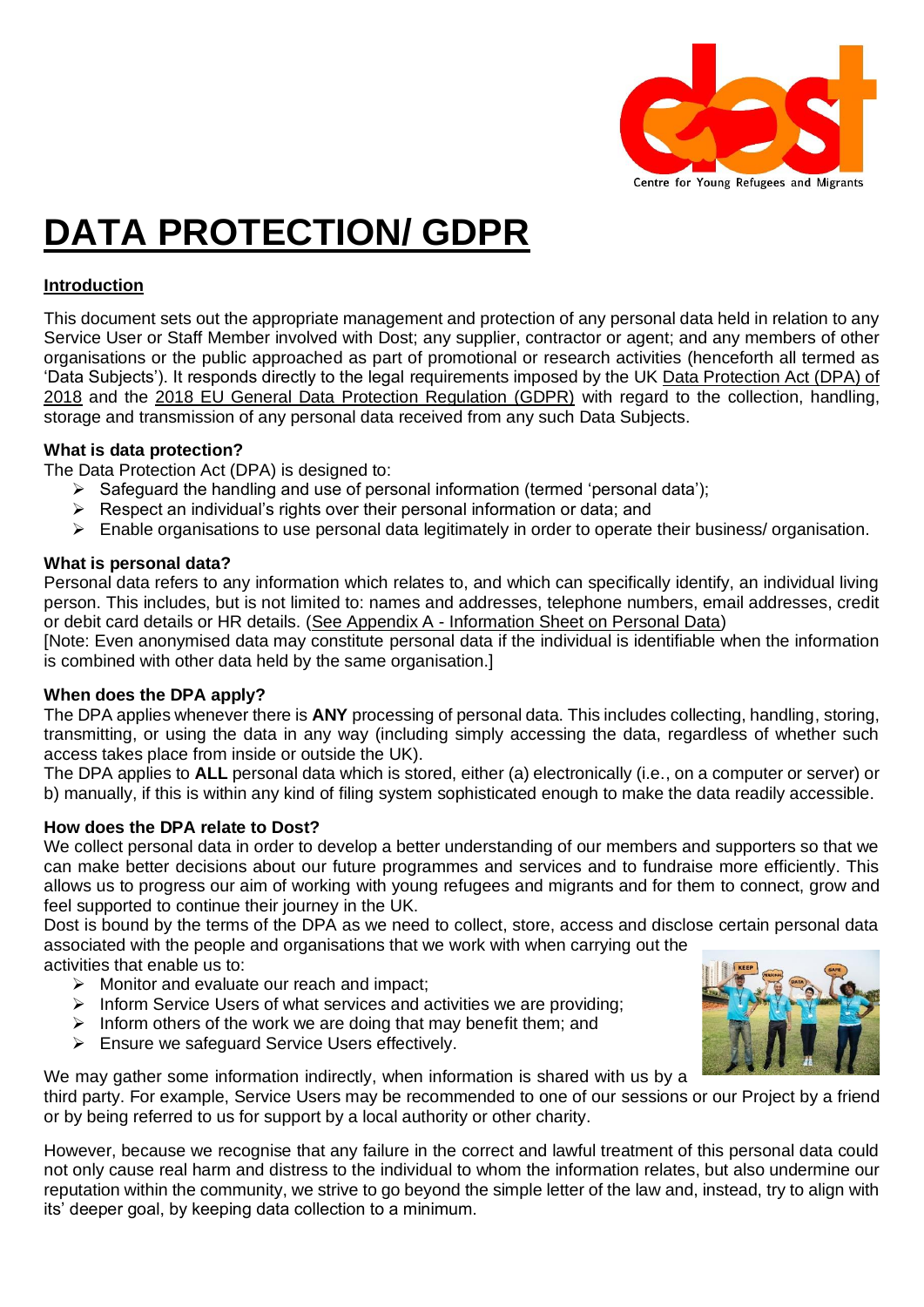

# **DATA PROTECTION/ GDPR**

# **Introduction**

This document sets out the appropriate management and protection of any personal data held in relation to any Service User or Staff Member involved with Dost; any supplier, contractor or agent; and any members of other organisations or the public approached as part of promotional or research activities (henceforth all termed as 'Data Subjects'). It responds directly to the legal requirements imposed by the UK [Data Protection Act \(DPA\) of](https://www.gov.uk/government/publications/data-protection-act-2018-overview)  [2018](https://www.gov.uk/government/publications/data-protection-act-2018-overview) and the [2018 EU General Data Protection Regulation \(GDPR\)](https://gdpr-info.eu/) with regard to the collection, handling, storage and transmission of any personal data received from any such Data Subjects.

## **What is data protection?**

The Data Protection Act (DPA) is designed to:

- $\triangleright$  Safeguard the handling and use of personal information (termed 'personal data');
- ➢ Respect an individual's rights over their personal information or data; and
- ➢ Enable organisations to use personal data legitimately in order to operate their business/ organisation.

## **What is personal data?**

Personal data refers to any information which relates to, and which can specifically identify, an individual living person. This includes, but is not limited to: names and addresses, telephone numbers, email addresses, credit or debit card details or HR details. (See Appendix A - [Information Sheet on Personal Data\)](#page-5-0)

[Note: Even anonymised data may constitute personal data if the individual is identifiable when the information is combined with other data held by the same organisation.]

# **When does the DPA apply?**

The DPA applies whenever there is **ANY** processing of personal data. This includes collecting, handling, storing, transmitting, or using the data in any way (including simply accessing the data, regardless of whether such access takes place from inside or outside the UK).

The DPA applies to **ALL** personal data which is stored, either (a) electronically (i.e., on a computer or server) or b) manually, if this is within any kind of filing system sophisticated enough to make the data readily accessible.

# **How does the DPA relate to Dost?**

We collect personal data in order to develop a better understanding of our members and supporters so that we can make better decisions about our future programmes and services and to fundraise more efficiently. This allows us to progress our aim of working with young refugees and migrants and for them to connect, grow and feel supported to continue their journey in the UK.

Dost is bound by the terms of the DPA as we need to collect, store, access and disclose certain personal data associated with the people and organisations that we work with when carrying out the

activities that enable us to:

- ➢ Monitor and evaluate our reach and impact;
- ➢ Inform Service Users of what services and activities we are providing;
- $\triangleright$  Inform others of the work we are doing that may benefit them; and
- ➢ Ensure we safeguard Service Users effectively.

We may gather some information indirectly, when information is shared with us by a

third party. For example, Service Users may be recommended to one of our sessions or our Project by a friend or by being referred to us for support by a local authority or other charity.

However, because we recognise that any failure in the correct and lawful treatment of this personal data could not only cause real harm and distress to the individual to whom the information relates, but also undermine our reputation within the community, we strive to go beyond the simple letter of the law and, instead, try to align with its' deeper goal, by keeping data collection to a minimum.

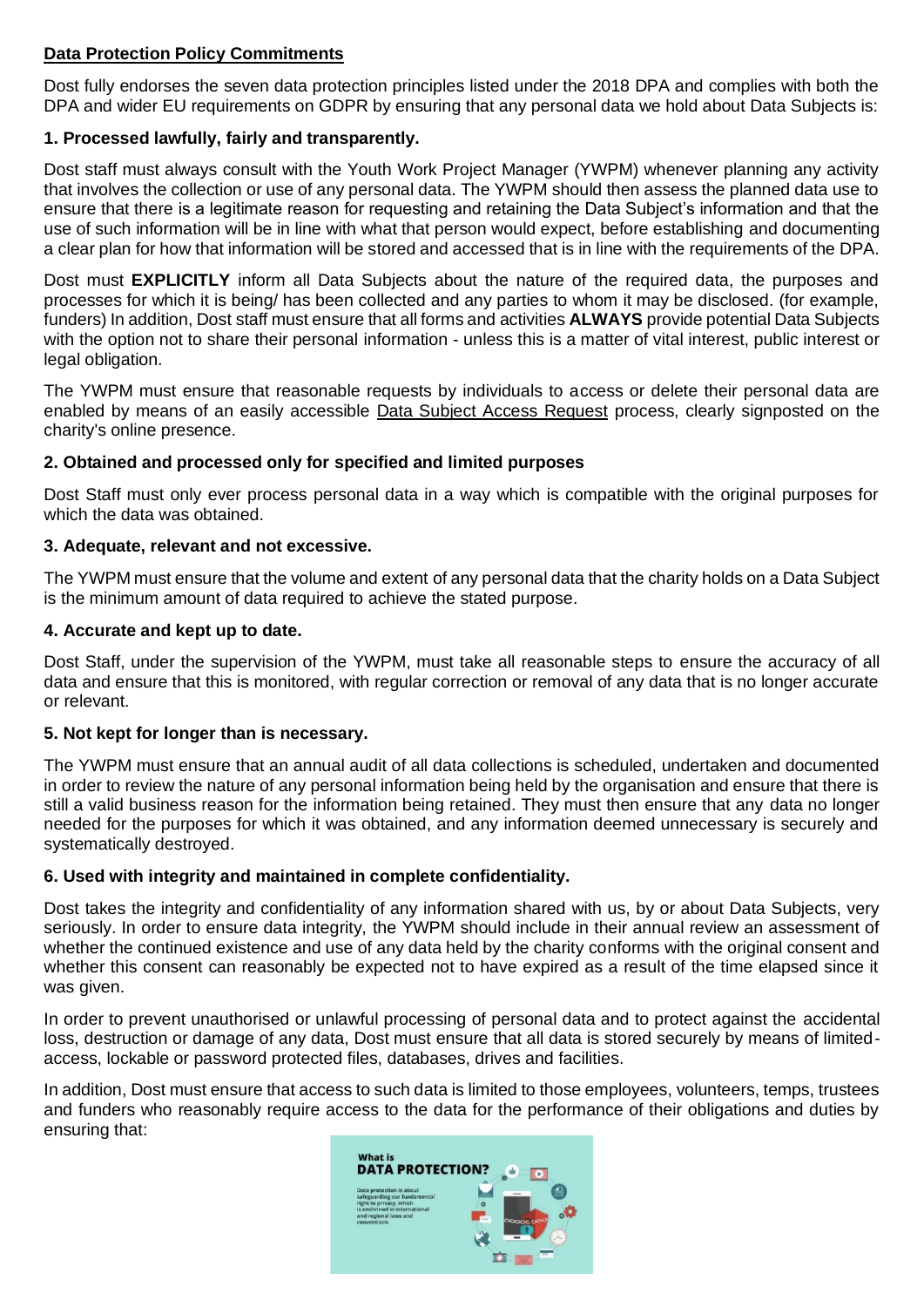# **Data Protection Policy Commitments**

Dost fully endorses the seven data protection principles listed under the 2018 DPA and complies with both the DPA and wider EU requirements on GDPR by ensuring that any personal data we hold about Data Subjects is:

# **1. Processed lawfully, fairly and transparently.**

Dost staff must always consult with the Youth Work Project Manager (YWPM) whenever planning any activity that involves the collection or use of any personal data. The YWPM should then assess the planned data use to ensure that there is a legitimate reason for requesting and retaining the Data Subject's information and that the use of such information will be in line with what that person would expect, before establishing and documenting a clear plan for how that information will be stored and accessed that is in line with the requirements of the DPA.

Dost must **EXPLICITLY** inform all Data Subjects about the nature of the required data, the purposes and processes for which it is being/ has been collected and any parties to whom it may be disclosed. (for example, funders) In addition, Dost staff must ensure that all forms and activities **ALWAYS** provide potential Data Subjects with the option not to share their personal information - unless this is a matter of vital interest, public interest or legal obligation.

The YWPM must ensure that reasonable requests by individuals to access or delete their personal data are enabled by means of an easily accessible Data Subject Access Request process, clearly signposted on the charity's online presence.

# **2. Obtained and processed only for specified and limited purposes**

Dost Staff must only ever process personal data in a way which is compatible with the original purposes for which the data was obtained.

## **3. Adequate, relevant and not excessive.**

The YWPM must ensure that the volume and extent of any personal data that the charity holds on a Data Subject is the minimum amount of data required to achieve the stated purpose.

## **4. Accurate and kept up to date.**

Dost Staff, under the supervision of the YWPM, must take all reasonable steps to ensure the accuracy of all data and ensure that this is monitored, with regular correction or removal of any data that is no longer accurate or relevant.

#### **5. Not kept for longer than is necessary.**

The YWPM must ensure that an annual audit of all data collections is scheduled, undertaken and documented in order to review the nature of any personal information being held by the organisation and ensure that there is still a valid business reason for the information being retained. They must then ensure that any data no longer needed for the purposes for which it was obtained, and any information deemed unnecessary is securely and systematically destroyed.

# **6. Used with integrity and maintained in complete confidentiality.**

Dost takes the integrity and confidentiality of any information shared with us, by or about Data Subjects, very seriously. In order to ensure data integrity, the YWPM should include in their annual review an assessment of whether the continued existence and use of any data held by the charity conforms with the original consent and whether this consent can reasonably be expected not to have expired as a result of the time elapsed since it was given.

In order to prevent unauthorised or unlawful processing of personal data and to protect against the accidental loss, destruction or damage of any data, Dost must ensure that all data is stored securely by means of limitedaccess, lockable or password protected files, databases, drives and facilities.

In addition, Dost must ensure that access to such data is limited to those employees, volunteers, temps, trustees and funders who reasonably require access to the data for the performance of their obligations and duties by ensuring that:

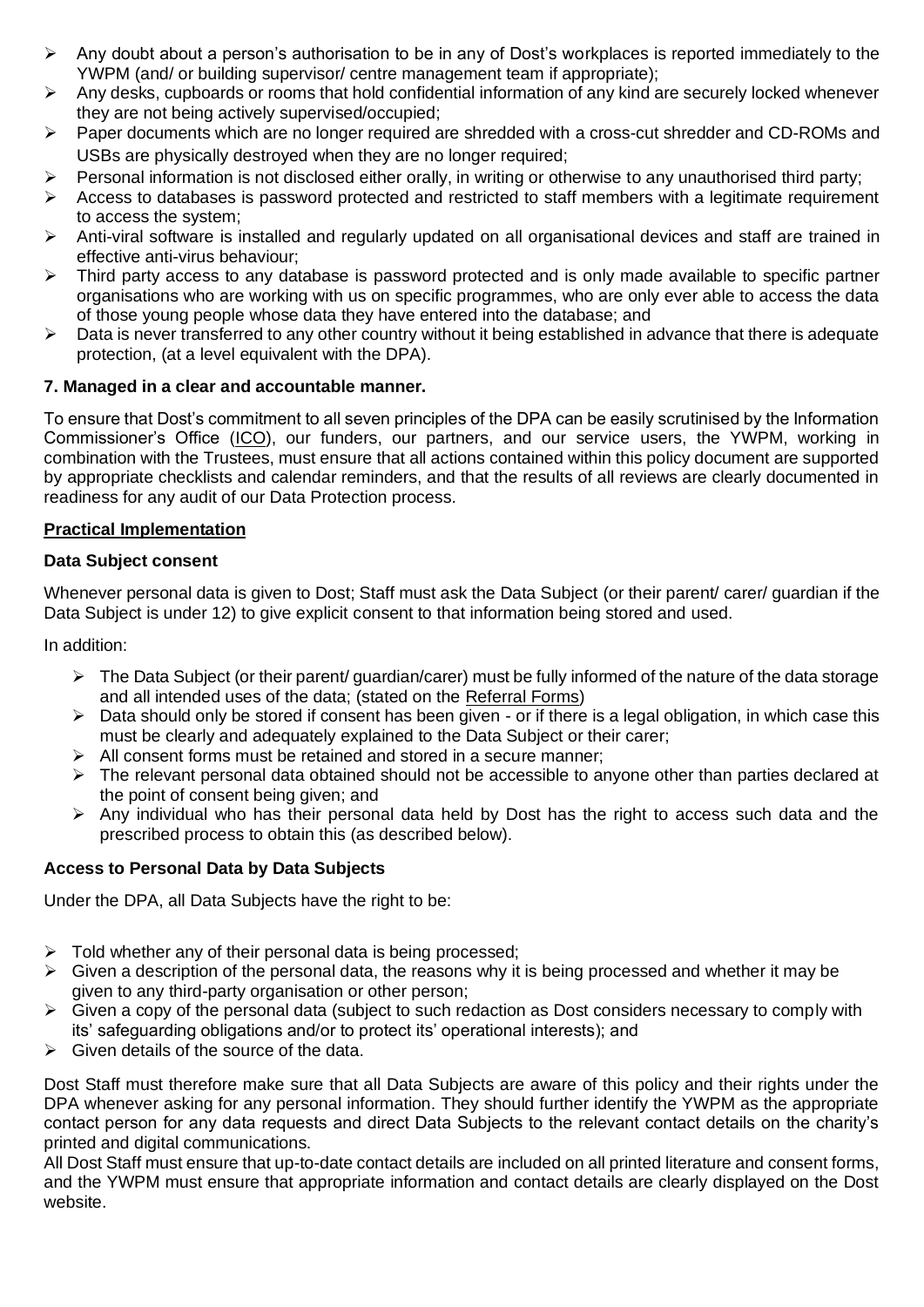- ➢ Any doubt about a person's authorisation to be in any of Dost's workplaces is reported immediately to the YWPM (and/ or building supervisor/ centre management team if appropriate);
- ➢ Any desks, cupboards or rooms that hold confidential information of any kind are securely locked whenever they are not being actively supervised/occupied;
- ➢ Paper documents which are no longer required are shredded with a cross-cut shredder and CD-ROMs and USBs are physically destroyed when they are no longer required;
- ➢ Personal information is not disclosed either orally, in writing or otherwise to any unauthorised third party;
- ➢ Access to databases is password protected and restricted to staff members with a legitimate requirement to access the system;
- ➢ Anti-viral software is installed and regularly updated on all organisational devices and staff are trained in effective anti-virus behaviour;
- ➢ Third party access to any database is password protected and is only made available to specific partner organisations who are working with us on specific programmes, who are only ever able to access the data of those young people whose data they have entered into the database; and
- $\triangleright$  Data is never transferred to any other country without it being established in advance that there is adequate protection, (at a level equivalent with the DPA).

## **7. Managed in a clear and accountable manner.**

To ensure that Dost's commitment to all seven principles of the DPA can be easily scrutinised by the Information Commissioner's Office [\(ICO\)](https://ico.org.uk/), our funders, our partners, and our service users, the YWPM, working in combination with the Trustees, must ensure that all actions contained within this policy document are supported by appropriate checklists and calendar reminders, and that the results of all reviews are clearly documented in readiness for any audit of our Data Protection process.

#### **Practical Implementation**

#### **Data Subject consent**

Whenever personal data is given to Dost; Staff must ask the Data Subject (or their parent/ carer/ quardian if the Data Subject is under 12) to give explicit consent to that information being stored and used.

In addition:

- ➢ The Data Subject (or their parent/ guardian/carer) must be fully informed of the nature of the data storage and all intended uses of the data; (stated on the Referral Forms)
- ➢ Data should only be stored if consent has been given or if there is a legal obligation, in which case this must be clearly and adequately explained to the Data Subject or their carer;
- ➢ All consent forms must be retained and stored in a secure manner;
- ➢ The relevant personal data obtained should not be accessible to anyone other than parties declared at the point of consent being given; and
- $\triangleright$  Any individual who has their personal data held by Dost has the right to access such data and the prescribed process to obtain this (as described below).

# **Access to Personal Data by Data Subjects**

Under the DPA, all Data Subjects have the right to be:

- $\triangleright$  Told whether any of their personal data is being processed;
- $\triangleright$  Given a description of the personal data, the reasons why it is being processed and whether it may be given to any third-party organisation or other person;
- $\triangleright$  Given a copy of the personal data (subject to such redaction as Dost considers necessary to comply with its' safeguarding obligations and/or to protect its' operational interests); and
- $\triangleright$  Given details of the source of the data.

Dost Staff must therefore make sure that all Data Subjects are aware of this policy and their rights under the DPA whenever asking for any personal information. They should further identify the YWPM as the appropriate contact person for any data requests and direct Data Subjects to the relevant contact details on the charity's printed and digital communications.

All Dost Staff must ensure that up-to-date contact details are included on all printed literature and consent forms, and the YWPM must ensure that appropriate information and contact details are clearly displayed on the Dost website.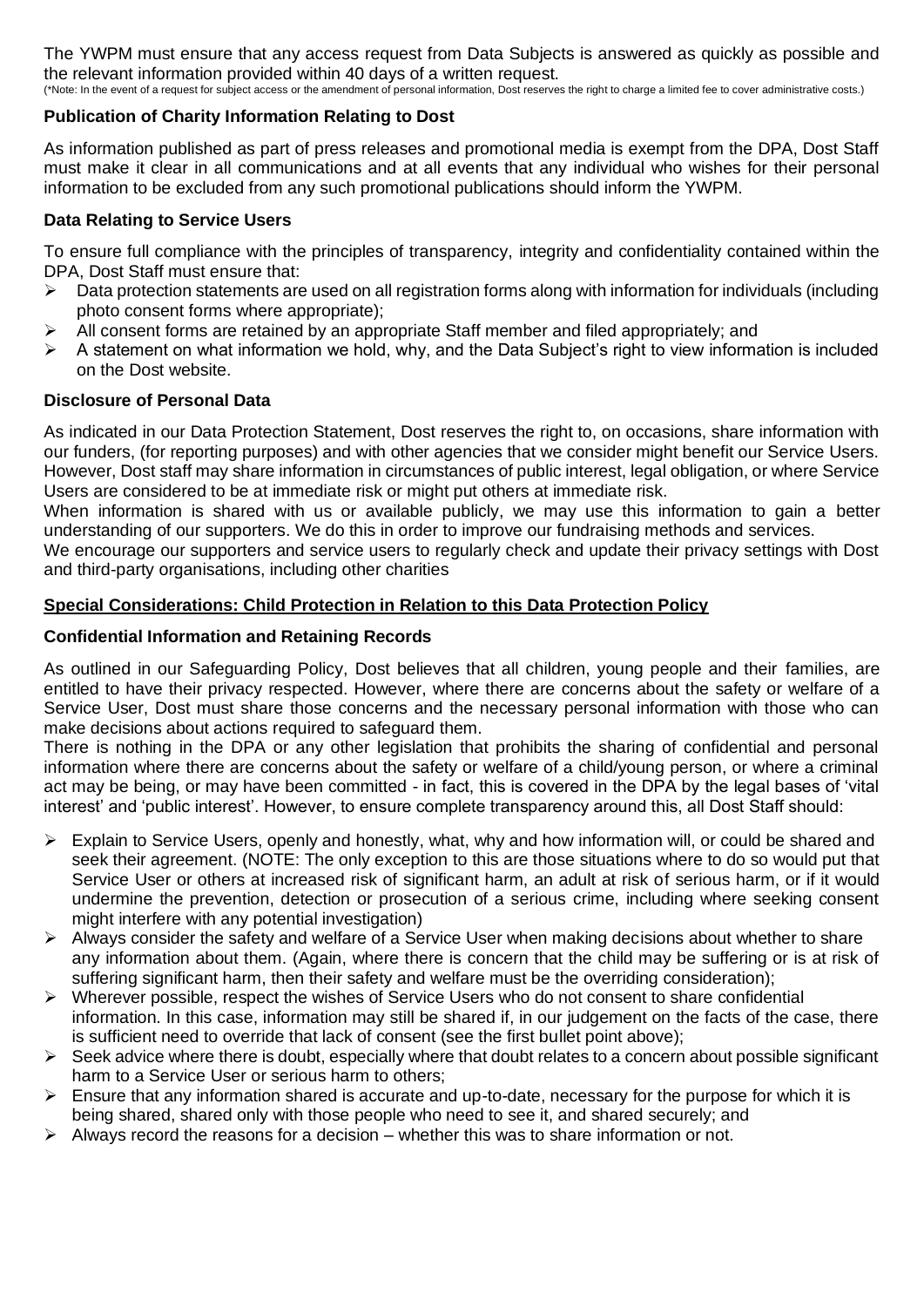The YWPM must ensure that any access request from Data Subjects is answered as quickly as possible and the relevant information provided within 40 days of a written request.

(\*Note: In the event of a request for subject access or the amendment of personal information, Dost reserves the right to charge a limited fee to cover administrative costs.)

# **Publication of Charity Information Relating to Dost**

As information published as part of press releases and promotional media is exempt from the DPA, Dost Staff must make it clear in all communications and at all events that any individual who wishes for their personal information to be excluded from any such promotional publications should inform the YWPM.

#### **Data Relating to Service Users**

To ensure full compliance with the principles of transparency, integrity and confidentiality contained within the DPA, Dost Staff must ensure that:

- $\triangleright$  Data protection statements are used on all registration forms along with information for individuals (including photo consent forms where appropriate);
- All consent forms are retained by an appropriate Staff member and filed appropriately; and
- ➢ A statement on what information we hold, why, and the Data Subject's right to view information is included on the Dost website.

## **Disclosure of Personal Data**

As indicated in our Data Protection Statement, Dost reserves the right to, on occasions, share information with our funders, (for reporting purposes) and with other agencies that we consider might benefit our Service Users. However, Dost staff may share information in circumstances of public interest, legal obligation, or where Service Users are considered to be at immediate risk or might put others at immediate risk.

When information is shared with us or available publicly, we may use this information to gain a better understanding of our supporters. We do this in order to improve our fundraising methods and services.

We encourage our supporters and service users to regularly check and update their privacy settings with Dost and third-party organisations, including other charities

## **Special Considerations: Child Protection in Relation to this Data Protection Policy**

## **Confidential Information and Retaining Records**

As outlined in our Safeguarding Policy, Dost believes that all children, young people and their families, are entitled to have their privacy respected. However, where there are concerns about the safety or welfare of a Service User, Dost must share those concerns and the necessary personal information with those who can make decisions about actions required to safeguard them.

There is nothing in the DPA or any other legislation that prohibits the sharing of confidential and personal information where there are concerns about the safety or welfare of a child/young person, or where a criminal act may be being, or may have been committed - in fact, this is covered in the DPA by the legal bases of 'vital interest' and 'public interest'. However, to ensure complete transparency around this, all Dost Staff should:

- ➢ Explain to Service Users, openly and honestly, what, why and how information will, or could be shared and seek their agreement. (NOTE: The only exception to this are those situations where to do so would put that Service User or others at increased risk of significant harm, an adult at risk of serious harm, or if it would undermine the prevention, detection or prosecution of a serious crime, including where seeking consent might interfere with any potential investigation)
- ➢ Always consider the safety and welfare of a Service User when making decisions about whether to share any information about them. (Again, where there is concern that the child may be suffering or is at risk of suffering significant harm, then their safety and welfare must be the overriding consideration);
- ➢ Wherever possible, respect the wishes of Service Users who do not consent to share confidential information. In this case, information may still be shared if, in our judgement on the facts of the case, there is sufficient need to override that lack of consent (see the first bullet point above);
- $\triangleright$  Seek advice where there is doubt, especially where that doubt relates to a concern about possible significant harm to a Service User or serious harm to others;
- ➢ Ensure that any information shared is accurate and up-to-date, necessary for the purpose for which it is being shared, shared only with those people who need to see it, and shared securely; and
- $\triangleright$  Always record the reasons for a decision whether this was to share information or not.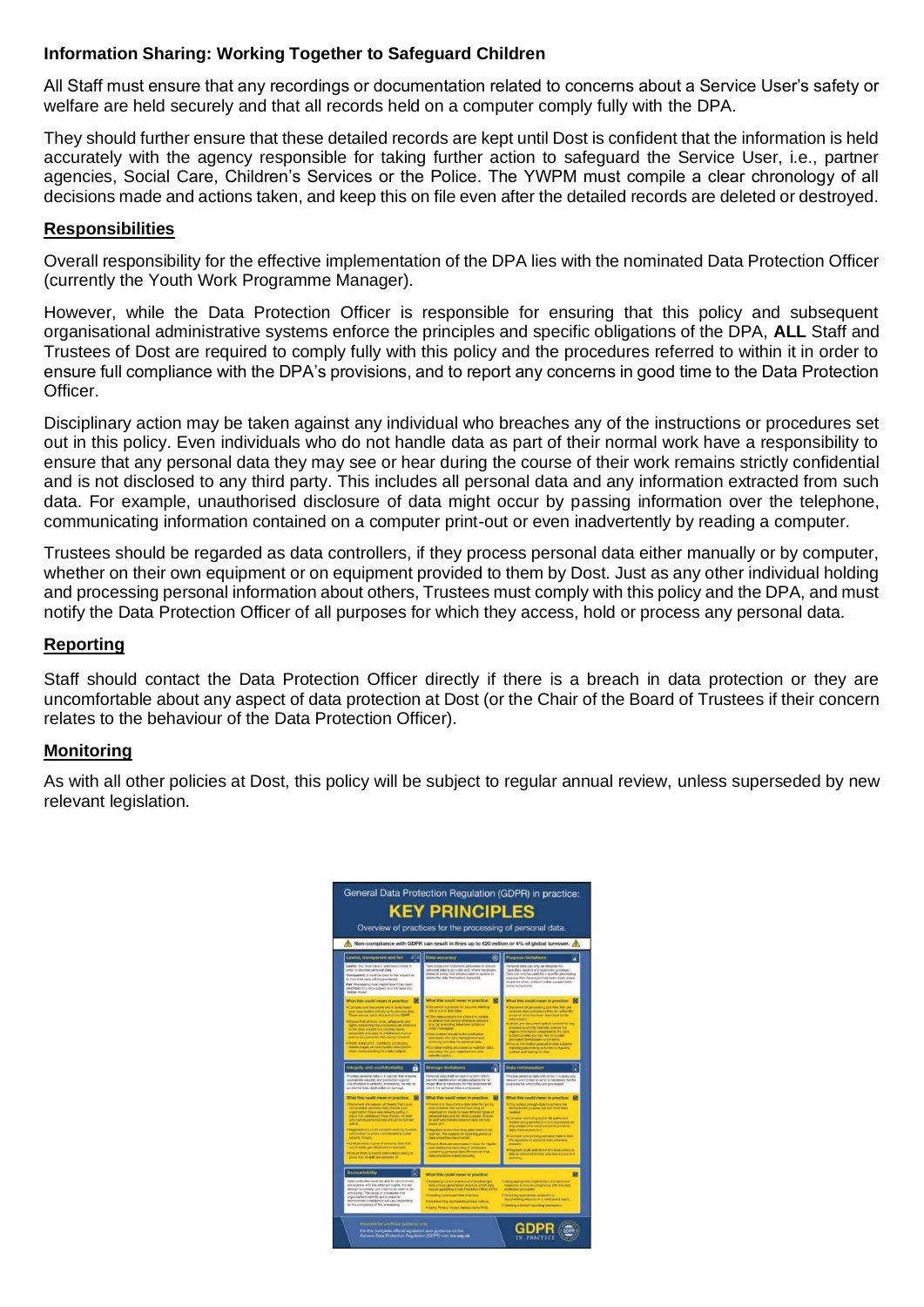# **Information Sharing: Working Together to Safeguard Children**

All Staff must ensure that any recordings or documentation related to concerns about a Service User's safety or welfare are held securely and that all records held on a computer comply fully with the DPA.

They should further ensure that these detailed records are kept until Dost is confident that the information is held accurately with the agency responsible for taking further action to safeguard the Service User, i.e., partner agencies, Social Care, Children's Services or the Police. The YWPM must compile a clear chronology of all decisions made and actions taken, and keep this on file even after the detailed records are deleted or destroyed.

## **Responsibilities**

Overall responsibility for the effective implementation of the DPA lies with the nominated Data Protection Officer (currently the Youth Work Programme Manager).

However, while the Data Protection Officer is responsible for ensuring that this policy and subsequent organisational administrative systems enforce the principles and specific obligations of the DPA, **ALL** Staff and Trustees of Dost are required to comply fully with this policy and the procedures referred to within it in order to ensure full compliance with the DPA's provisions, and to report any concerns in good time to the Data Protection Officer.

Disciplinary action may be taken against any individual who breaches any of the instructions or procedures set out in this policy. Even individuals who do not handle data as part of their normal work have a responsibility to ensure that any personal data they may see or hear during the course of their work remains strictly confidential and is not disclosed to any third party. This includes all personal data and any information extracted from such data. For example, unauthorised disclosure of data might occur by passing information over the telephone, communicating information contained on a computer print-out or even inadvertently by reading a computer.

Trustees should be regarded as data controllers, if they process personal data either manually or by computer, whether on their own equipment or on equipment provided to them by Dost. Just as any other individual holding and processing personal information about others, Trustees must comply with this policy and the DPA, and must notify the Data Protection Officer of all purposes for which they access, hold or process any personal data.

# **Reporting**

Staff should contact the Data Protection Officer directly if there is a breach in data protection or they are uncomfortable about any aspect of data protection at Dost (or the Chair of the Board of Trustees if their concern relates to the behaviour of the Data Protection Officer).

#### **Monitoring**

As with all other policies at Dost, this policy will be subject to regular annual review, unless superseded by new relevant legislation.

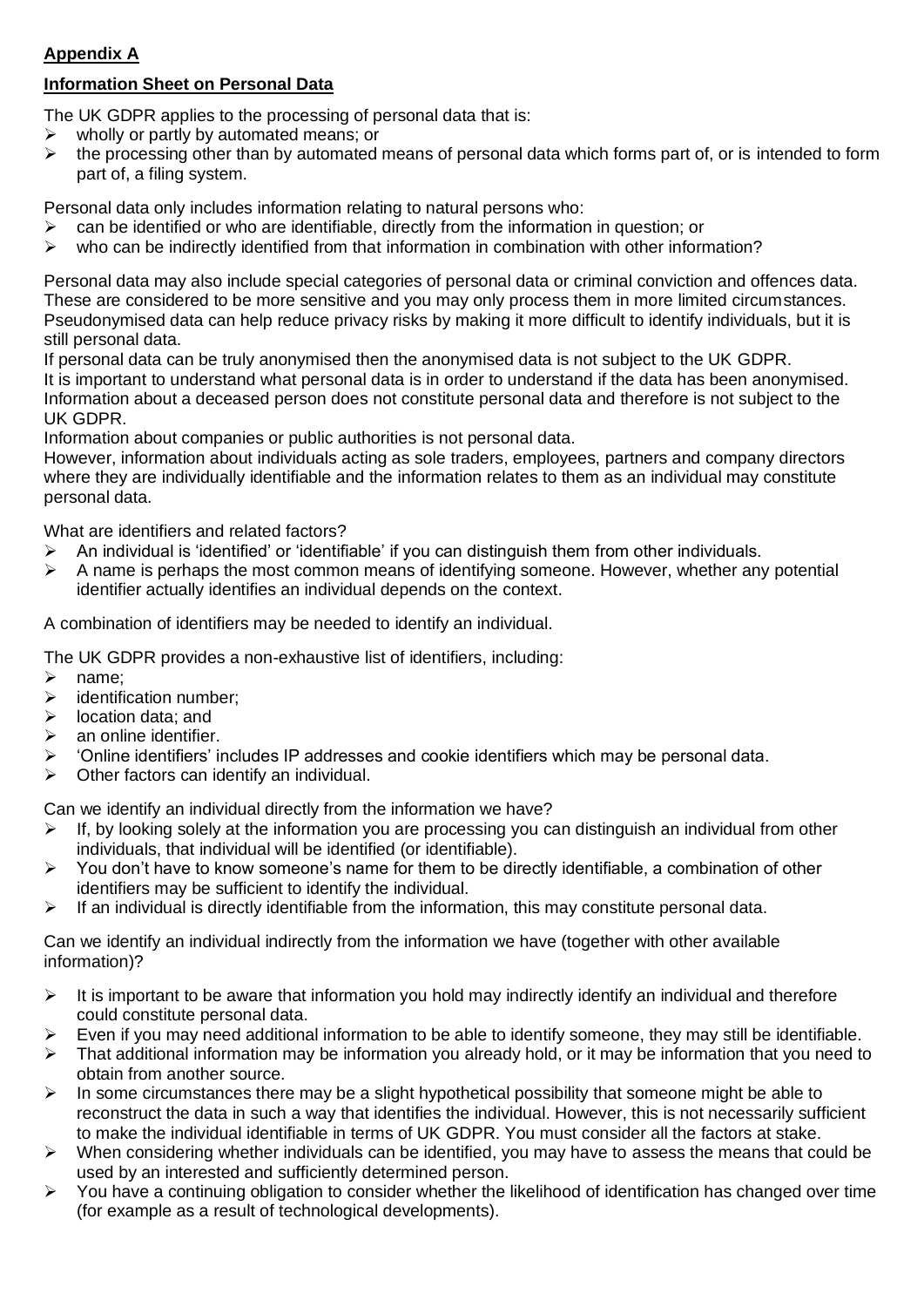# <span id="page-5-0"></span>**Appendix A**

# **Information Sheet on Personal Data**

The UK GDPR applies to the processing of personal data that is:

- $\triangleright$  wholly or partly by automated means; or
- $\triangleright$  the processing other than by automated means of personal data which forms part of, or is intended to form part of, a filing system.

Personal data only includes information relating to natural persons who:

- ➢ can be identified or who are identifiable, directly from the information in question; or
- $\triangleright$  who can be indirectly identified from that information in combination with other information?

Personal data may also include special categories of personal data or criminal conviction and offences data. These are considered to be more sensitive and you may only process them in more limited circumstances. Pseudonymised data can help reduce privacy risks by making it more difficult to identify individuals, but it is still personal data.

If personal data can be truly anonymised then the anonymised data is not subject to the UK GDPR. It is important to understand what personal data is in order to understand if the data has been anonymised. Information about a deceased person does not constitute personal data and therefore is not subject to the UK GDPR.

Information about companies or public authorities is not personal data.

However, information about individuals acting as sole traders, employees, partners and company directors where they are individually identifiable and the information relates to them as an individual may constitute personal data.

What are identifiers and related factors?

- $\triangleright$  An individual is 'identified' or 'identifiable' if you can distinguish them from other individuals.
- $\triangleright$  A name is perhaps the most common means of identifying someone. However, whether any potential identifier actually identifies an individual depends on the context.

A combination of identifiers may be needed to identify an individual.

The UK GDPR provides a non-exhaustive list of identifiers, including:

- ➢ name;
- ➢ identification number;
- ➢ location data; and
- $\triangleright$  an online identifier.
- ➢ 'Online identifiers' includes IP addresses and cookie identifiers which may be personal data.
- $\triangleright$  Other factors can identify an individual.

Can we identify an individual directly from the information we have?

- $\triangleright$  If, by looking solely at the information you are processing you can distinguish an individual from other individuals, that individual will be identified (or identifiable).
- ➢ You don't have to know someone's name for them to be directly identifiable, a combination of other identifiers may be sufficient to identify the individual.
- ➢ If an individual is directly identifiable from the information, this may constitute personal data.

Can we identify an individual indirectly from the information we have (together with other available information)?

- ➢ It is important to be aware that information you hold may indirectly identify an individual and therefore could constitute personal data.
- $\triangleright$  Even if you may need additional information to be able to identify someone, they may still be identifiable.
- ➢ That additional information may be information you already hold, or it may be information that you need to obtain from another source.
- $\triangleright$  In some circumstances there may be a slight hypothetical possibility that someone might be able to reconstruct the data in such a way that identifies the individual. However, this is not necessarily sufficient to make the individual identifiable in terms of UK GDPR. You must consider all the factors at stake.
- ➢ When considering whether individuals can be identified, you may have to assess the means that could be used by an interested and sufficiently determined person.
- ➢ You have a continuing obligation to consider whether the likelihood of identification has changed over time (for example as a result of technological developments).